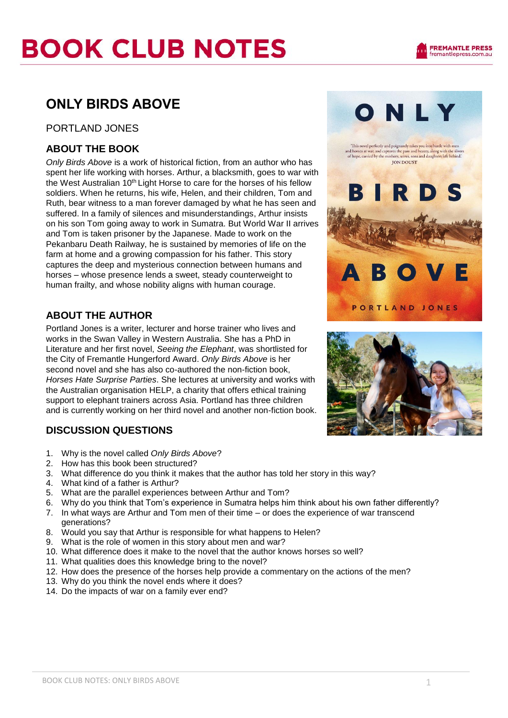### PORTLAND JONES

## **ABOUT THE BOOK**

*Only Birds Above* is a work of historical fiction, from an author who has spent her life working with horses. Arthur, a blacksmith, goes to war with the West Australian 10<sup>th</sup> Light Horse to care for the horses of his fellow soldiers. When he returns, his wife, Helen, and their children, Tom and Ruth, bear witness to a man forever damaged by what he has seen and suffered. In a family of silences and misunderstandings, Arthur insists on his son Tom going away to work in Sumatra. But World War II arrives and Tom is taken prisoner by the Japanese. Made to work on the Pekanbaru Death Railway, he is sustained by memories of life on the farm at home and a growing compassion for his father. This story captures the deep and mysterious connection between humans and horses – whose presence lends a sweet, steady counterweight to human frailty, and whose nobility aligns with human courage.

## **ABOUT THE AUTHOR**

Portland Jones is a writer, lecturer and horse trainer who lives and works in the Swan Valley in Western Australia. She has a PhD in Literature and her first novel, *Seeing the Elephant*, was shortlisted for the City of Fremantle Hungerford Award. *Only Birds Above* is her second novel and she has also co-authored the non-fiction book, *Horses Hate Surprise Parties*. She lectures at university and works with the Australian organisation HELP, a charity that offers ethical training support to elephant trainers across Asia. Portland has three children and is currently working on her third novel and another non-fiction book.

## **DISCUSSION QUESTIONS**

- 1. Why is the novel called *Only Birds Above*?
- 2. How has this book been structured?
- 3. What difference do you think it makes that the author has told her story in this way?
- 4. What kind of a father is Arthur?
- 5. What are the parallel experiences between Arthur and Tom?
- 6. Why do you think that Tom's experience in Sumatra helps him think about his own father differently?
- 7. In what ways are Arthur and Tom men of their time or does the experience of war transcend generations?
- 8. Would you say that Arthur is responsible for what happens to Helen?
- 9. What is the role of women in this story about men and war?
- 10. What difference does it make to the novel that the author knows horses so well?
- 11. What qualities does this knowledge bring to the novel?
- 12. How does the presence of the horses help provide a commentary on the actions of the men?
- 13. Why do you think the novel ends where it does?
- 14. Do the impacts of war on a family ever end?



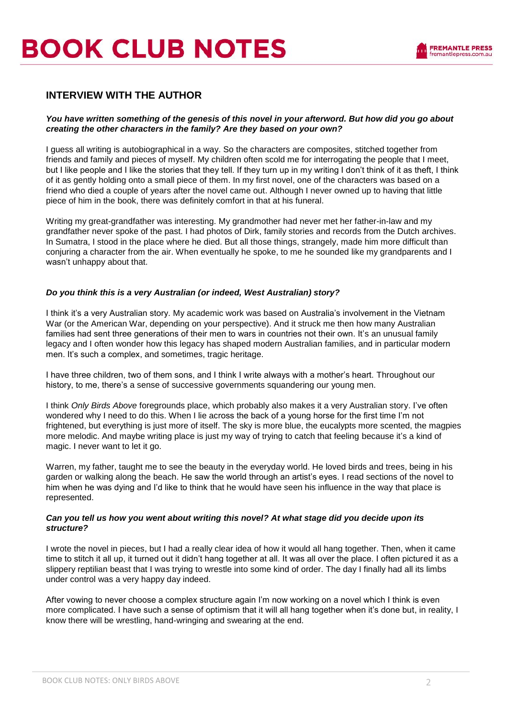# **BOOK CLUB NOTES**

### **INTERVIEW WITH THE AUTHOR**

#### *You have written something of the genesis of this novel in your afterword. But how did you go about creating the other characters in the family? Are they based on your own?*

I guess all writing is autobiographical in a way. So the characters are composites, stitched together from friends and family and pieces of myself. My children often scold me for interrogating the people that I meet, but I like people and I like the stories that they tell. If they turn up in my writing I don't think of it as theft, I think of it as gently holding onto a small piece of them. In my first novel, one of the characters was based on a friend who died a couple of years after the novel came out. Although I never owned up to having that little piece of him in the book, there was definitely comfort in that at his funeral.

Writing my great-grandfather was interesting. My grandmother had never met her father-in-law and my grandfather never spoke of the past. I had photos of Dirk, family stories and records from the Dutch archives. In Sumatra, I stood in the place where he died. But all those things, strangely, made him more difficult than conjuring a character from the air. When eventually he spoke, to me he sounded like my grandparents and I wasn't unhappy about that.

#### *Do you think this is a very Australian (or indeed, West Australian) story?*

I think it's a very Australian story. My academic work was based on Australia's involvement in the Vietnam War (or the American War, depending on your perspective). And it struck me then how many Australian families had sent three generations of their men to wars in countries not their own. It's an unusual family legacy and I often wonder how this legacy has shaped modern Australian families, and in particular modern men. It's such a complex, and sometimes, tragic heritage.

I have three children, two of them sons, and I think I write always with a mother's heart. Throughout our history, to me, there's a sense of successive governments squandering our young men.

I think *Only Birds Above* foregrounds place, which probably also makes it a very Australian story. I've often wondered why I need to do this. When I lie across the back of a young horse for the first time I'm not frightened, but everything is just more of itself. The sky is more blue, the eucalypts more scented, the magpies more melodic. And maybe writing place is just my way of trying to catch that feeling because it's a kind of magic. I never want to let it go.

Warren, my father, taught me to see the beauty in the everyday world. He loved birds and trees, being in his garden or walking along the beach. He saw the world through an artist's eyes. I read sections of the novel to him when he was dying and I'd like to think that he would have seen his influence in the way that place is represented.

#### *Can you tell us how you went about writing this novel? At what stage did you decide upon its structure?*

I wrote the novel in pieces, but I had a really clear idea of how it would all hang together. Then, when it came time to stitch it all up, it turned out it didn't hang together at all. It was all over the place. I often pictured it as a slippery reptilian beast that I was trying to wrestle into some kind of order. The day I finally had all its limbs under control was a very happy day indeed.

After vowing to never choose a complex structure again I'm now working on a novel which I think is even more complicated. I have such a sense of optimism that it will all hang together when it's done but, in reality, I know there will be wrestling, hand-wringing and swearing at the end.